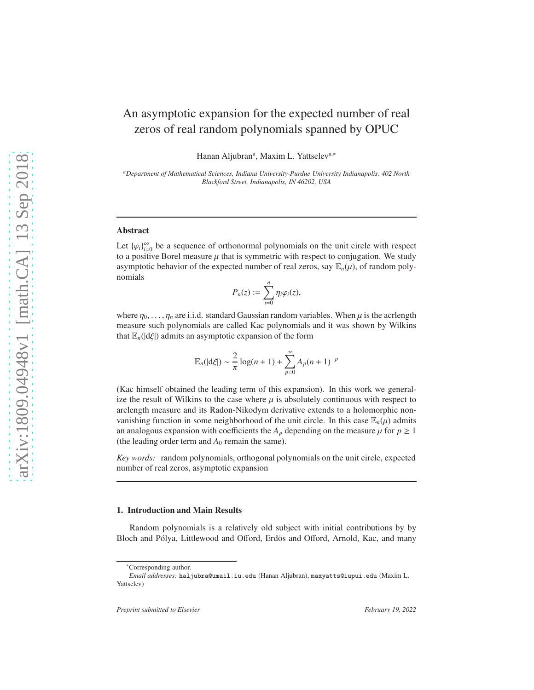# An asymptotic expansion for the expected number of real zeros of real random polynomials spanned by OPUC

Hanan Aljubran<sup>a</sup>, Maxim L. Yattselev<sup>a,\*</sup>

*<sup>a</sup>Department of Mathematical Sciences, Indiana University-Purdue University Indianapolis, 402 North Blackford Street, Indianapolis, IN 46202, USA*

## Abstract

Let  $\{\varphi_i\}_{i=0}^{\infty}$  be a sequence of orthonormal polynomials on the unit circle with respect to a positive Borel measure  $\mu$  that is symmetric with respect to conjugation. We study asymptotic behavior of the expected number of real zeros, say  $\mathbb{E}_n(\mu)$ , of random polynomials

$$
P_n(z) := \sum_{i=0}^n \eta_i \varphi_i(z),
$$

where  $\eta_0, \ldots, \eta_n$  are i.i.d. standard Gaussian random variables. When  $\mu$  is the acriength measure such polynomials are called Kac polynomials and it was shown by Wilkins that  $\mathbb{E}_n(|d\xi|)$  admits an asymptotic expansion of the form

$$
\mathbb{E}_n(|d\xi|) \sim \frac{2}{\pi} \log(n+1) + \sum_{p=0}^{\infty} A_p(n+1)^{-p}
$$

(Kac himself obtained the leading term of this expansion). In this work we generalize the result of Wilkins to the case where  $\mu$  is absolutely continuous with respect to arclength measure and its Radon-Nikodym derivative extends to a holomorphic nonvanishing function in some neighborhood of the unit circle. In this case  $\mathbb{E}_n(\mu)$  admits an analogous expansion with coefficients the  $A_p$  depending on the measure  $\mu$  for  $p \ge 1$ (the leading order term and  $A_0$  remain the same).

*Key words:* random polynomials, orthogonal polynomials on the unit circle, expected number of real zeros, asymptotic expansion

#### 1. Introduction and Main Results

Random polynomials is a relatively old subject with initial contributions by by Bloch and Pólya, Littlewood and Offord, Erdös and Offord, Arnold, Kac, and many

<sup>∗</sup>Corresponding author.

*Email addresses:* haljubra@umail.iu.edu (Hanan Aljubran), maxyatts@iupui.edu (Maxim L. Yattselev)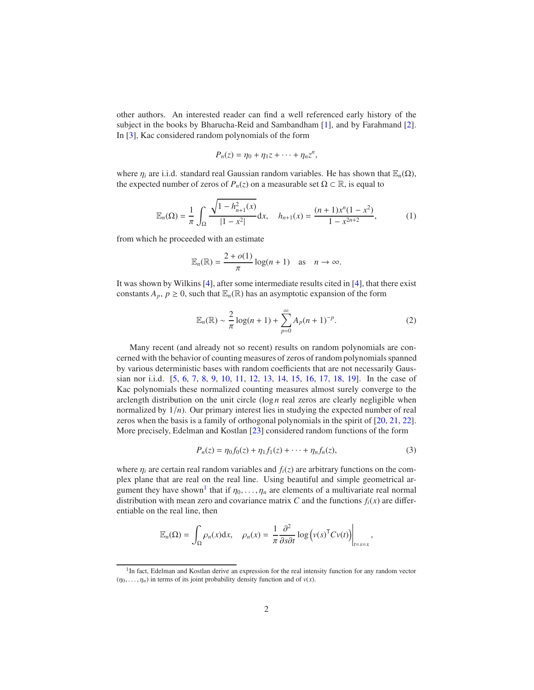<span id="page-1-4"></span>other authors. An interested reader can find a well referenced early history of the subject in the books by Bharucha-Reid and Sambandham [\[1\]](#page-18-0), and by Farahmand [\[2\]](#page-19-0). In [\[3\]](#page-19-1), Kac considered random polynomials of the form

$$
P_n(z)=\eta_0+\eta_1z+\cdots+\eta_nz^n,
$$

where  $\eta_i$  are i.i.d. standard real Gaussian random variables. He has shown that  $\mathbb{E}_n(\Omega)$ , the expected number of zeros of  $P_n(z)$  on a measurable set  $\Omega \subset \mathbb{R}$ , is equal to

<span id="page-1-2"></span>
$$
\mathbb{E}_n(\Omega) = \frac{1}{\pi} \int_{\Omega} \frac{\sqrt{1 - h_{n+1}^2(x)}}{|1 - x^2|} dx, \quad h_{n+1}(x) = \frac{(n+1)x^n(1 - x^2)}{1 - x^{2n+2}},
$$
 (1)

from which he proceeded with an estimate

$$
\mathbb{E}_n(\mathbb{R}) = \frac{2 + o(1)}{\pi} \log(n + 1) \quad \text{as} \quad n \to \infty.
$$

It was shown by Wilkins [\[4\]](#page-19-2), after some intermediate results cited in [\[4\]](#page-19-2), that there exist constants  $A_p$ ,  $p \ge 0$ , such that  $\mathbb{E}_n(\mathbb{R})$  has an asymptotic expansion of the form

<span id="page-1-3"></span>
$$
\mathbb{E}_n(\mathbb{R}) \sim \frac{2}{\pi} \log(n+1) + \sum_{p=0}^{\infty} A_p(n+1)^{-p}.
$$
 (2)

Many recent (and already not so recent) results on random polynomials are concerned with the behavior of counting measures of zeros of random polynomials spanned by various deterministic bases with random coefficients that are not necessarily Gaussian nor i.i.d. [\[5](#page-19-3), [6](#page-19-4), [7](#page-19-5), [8,](#page-19-6) [9,](#page-19-7) [10,](#page-19-8) [11,](#page-19-9) [12,](#page-19-10) [13,](#page-19-11) [14,](#page-19-12) [15](#page-19-13), [16](#page-19-14), [17](#page-19-15), [18](#page-19-16), [19](#page-20-0)]. In the case of Kac polynomials these normalized counting measures almost surely converge to the arclength distribution on the unit circle  $(\log n \text{ real zeros are clearly negligible when})$ normalized by  $1/n$ ). Our primary interest lies in studying the expected number of real zeros when the basis is a family of orthogonal polynomials in the spirit of [\[20,](#page-20-1) [21,](#page-20-2) [22\]](#page-20-3). More precisely, Edelman and Kostlan [\[23\]](#page-20-4) considered random functions of the form

<span id="page-1-1"></span>
$$
P_n(z) = \eta_0 f_0(z) + \eta_1 f_1(z) + \dots + \eta_n f_n(z), \tag{3}
$$

where  $\eta_i$  are certain real random variables and  $f_i(z)$  are arbitrary functions on the complex plane that are real on the real line. Using beautiful and simple geometrical ar-gument they have shown<sup>[1](#page-1-0)</sup> that if  $\eta_0, \ldots, \eta_n$  are elements of a multivariate real normal distribution with mean zero and covariance matrix *C* and the functions  $f_i(x)$  are differentiable on the real line, then

$$
\mathbb{E}_n(\Omega) = \int_{\Omega} \rho_n(x) dx, \quad \rho_n(x) = \frac{1}{\pi} \frac{\partial^2}{\partial s \partial t} \log \left( v(s)^{\mathsf{T}} C v(t) \right) \Big|_{t=s=x},
$$

<span id="page-1-0"></span><sup>&</sup>lt;sup>1</sup>In fact, Edelman and Kostlan derive an expression for the real intensity function for any random vector  $(\eta_0, \ldots, \eta_n)$  in terms of its joint probability density function and of  $v(x)$ .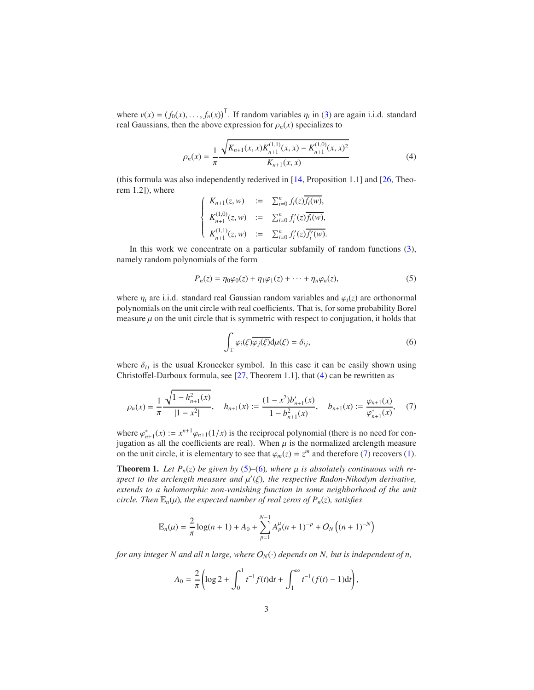<span id="page-2-5"></span>where  $v(x) = (f_0(x), \dots, f_n(x))^T$ . If random variables  $\eta_i$  in [\(3\)](#page-1-1) are again i.i.d. standard real Gaussians, then the above expression for  $\rho_n(x)$  specializes to

<span id="page-2-0"></span>
$$
\rho_n(x) = \frac{1}{\pi} \frac{\sqrt{K_{n+1}(x, x)K_{n+1}^{(1,1)}(x, x) - K_{n+1}^{(1,0)}(x, x)^2}}{K_{n+1}(x, x)}
$$
(4)

(this formula was also independently rederived in [\[14,](#page-19-12) Proposition 1.1] and [\[26,](#page-20-5) Theorem 1.2]), where

$$
\begin{cases}\nK_{n+1}(z,w) & := \sum_{i=0}^{n} f_i(z) \overline{f_i(w)}, \\
K_{n+1}^{(1,0)}(z,w) & := \sum_{i=0}^{n} f'_i(z) \overline{f_i(w)}, \\
K_{n+1}^{(1,1)}(z,w) & := \sum_{i=0}^{n} f'_i(z) \overline{f'_i(w)}.\n\end{cases}
$$

In this work we concentrate on a particular subfamily of random functions [\(3\)](#page-1-1), namely random polynomials of the form

<span id="page-2-2"></span>
$$
P_n(z) = \eta_0 \varphi_0(z) + \eta_1 \varphi_1(z) + \dots + \eta_n \varphi_n(z), \tag{5}
$$

where  $\eta_i$  are i.i.d. standard real Gaussian random variables and  $\varphi_i(z)$  are orthonormal polynomials on the unit circle with real coefficients. That is, for some probability Borel measure  $\mu$  on the unit circle that is symmetric with respect to conjugation, it holds that

<span id="page-2-3"></span>
$$
\int_{\mathbb{T}} \varphi_i(\xi) \overline{\varphi_j(\xi)} d\mu(\xi) = \delta_{ij},\tag{6}
$$

where  $\delta_{ij}$  is the usual Kronecker symbol. In this case it can be easily shown using Christoffel-Darboux formula, see [\[27](#page-20-6), Theorem 1.1], that [\(4\)](#page-2-0) can be rewritten as

<span id="page-2-1"></span>
$$
\rho_n(x) = \frac{1}{\pi} \frac{\sqrt{1 - h_{n+1}^2(x)}}{|1 - x^2|}, \quad h_{n+1}(x) := \frac{(1 - x^2)b'_{n+1}(x)}{1 - b_{n+1}^2(x)}, \quad b_{n+1}(x) := \frac{\varphi_{n+1}(x)}{\varphi_{n+1}^*(x)}, \quad (7)
$$

where  $\varphi_{n+1}^*(x) := x^{n+1}\varphi_{n+1}(1/x)$  is the reciprocal polynomial (there is no need for conjugation as all the coefficients are real). When  $\mu$  is the normalized arclength measure on the unit circle, it is elementary to see that  $\varphi_m(z) = z^m$  and therefore [\(7\)](#page-2-1) recovers [\(1\)](#page-1-2).

<span id="page-2-4"></span>**Theorem 1.** Let  $P_n(z)$  be given by [\(5\)](#page-2-2)–[\(6\)](#page-2-3)*, where*  $\mu$  *is absolutely continuous with respect to the arclength measure and* µ ′ (ξ)*, the respective Radon-Nikodym derivative, extends to a holomorphic non-vanishing function in some neighborhood of the unit circle. Then*  $\mathbb{E}_n(\mu)$ *, the expected number of real zeros of*  $P_n(z)$ *, satisfies* 

$$
\mathbb{E}_n(\mu) = \frac{2}{\pi} \log(n+1) + A_0 + \sum_{p=1}^{N-1} A_p^{\mu}(n+1)^{-p} + O_N((n+1)^{-N})
$$

*for any integer N and all n large, where*  $O_N(\cdot)$  *depends on N, but is independent of n,* 

$$
A_0 = \frac{2}{\pi} \left( \log 2 + \int_0^1 t^{-1} f(t) dt + \int_1^\infty t^{-1} (f(t) - 1) dt \right),
$$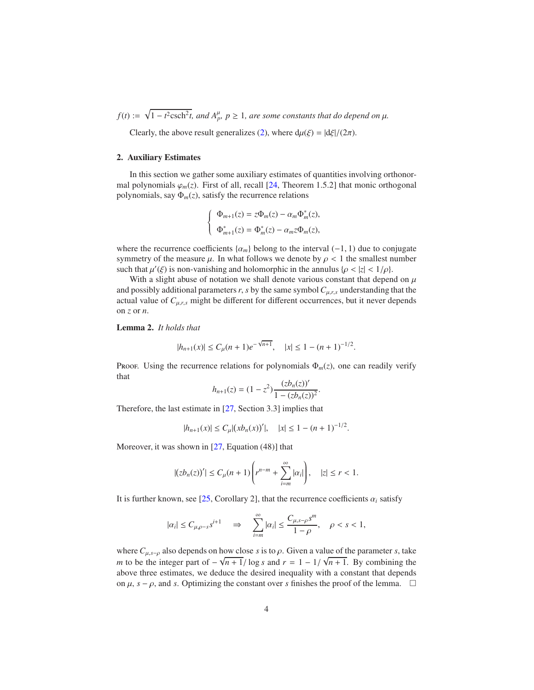<span id="page-3-1"></span> $f(t) := \sqrt{1 - t^2 \text{csch}^2 t}$ , and  $A_p^{\mu}, p \ge 1$ , are some constants that do depend on  $\mu$ .

Clearly, the above result generalizes [\(2\)](#page-1-3), where  $d\mu(\xi) = |d\xi|/(2\pi)$ .

## 2. Auxiliary Estimates

In this section we gather some auxiliary estimates of quantities involving orthonormal polynomials  $\varphi_m(z)$ . First of all, recall [\[24](#page-20-7), Theorem 1.5.2] that monic orthogonal polynomials, say  $\Phi_m(z)$ , satisfy the recurrence relations

$$
\label{eq:Phi} \left\{ \begin{array}{l} \Phi_{m+1}(z)=z\Phi_m(z)-\alpha_m\Phi_m^*(z),\\[4pt] \Phi_{m+1}^*(z)=\Phi_m^*(z)-\alpha_mz\Phi_m(z), \end{array} \right.
$$

where the recurrence coefficients  $\{\alpha_m\}$  belong to the interval (−1, 1) due to conjugate symmetry of the measure  $\mu$ . In what follows we denote by  $\rho < 1$  the smallest number such that  $\mu'(\xi)$  is non-vanishing and holomorphic in the annulus  $\{\rho < |z| < 1/\rho\}$ .

With a slight abuse of notation we shall denote various constant that depend on  $\mu$ and possibly additional parameters  $r$ ,  $s$  by the same symbol  $C_{\mu,r,s}$  understanding that the actual value of  $C_{\mu,r,s}$  might be different for different occurrences, but it never depends on *z* or *n*.

<span id="page-3-0"></span>Lemma 2. *It holds that*

$$
|h_{n+1}(x)| \le C_{\mu}(n+1)e^{-\sqrt{n+1}}, \quad |x| \le 1 - (n+1)^{-1/2}.
$$

Proof. Using the recurrence relations for polynomials  $\Phi_m(z)$ , one can readily verify that

$$
h_{n+1}(z) = (1 - z^2) \frac{(z b_n(z))'}{1 - (z b_n(z))^2}.
$$

Therefore, the last estimate in [\[27](#page-20-6), Section 3.3] implies that

$$
|h_{n+1}(x)| \le C_{\mu} |(x b_n(x))'|, \quad |x| \le 1 - (n+1)^{-1/2}.
$$

Moreover, it was shown in [\[27](#page-20-6), Equation (48)] that

$$
|(zb_n(z))'| \leq C_\mu(n+1)\left(r^{n-m} + \sum_{i=m}^\infty |\alpha_i|\right), \quad |z| \leq r < 1.
$$

It is further known, see [\[25,](#page-20-8) Corollary 2], that the recurrence coefficients  $\alpha_i$  satisfy

$$
|\alpha_i| \leq C_{\mu,\rho-s} s^{i+1} \quad \Rightarrow \quad \sum_{i=m}^\infty |\alpha_i| \leq \frac{C_{\mu,s-\rho} s^m}{1-\rho}, \quad \rho < s < 1,
$$

where  $C_{\mu,s-\rho}$  also depends on how close *s* is to  $\rho$ . Given a value of the parameter *s*, take *m* to be the integer part of  $-\sqrt{n+1}/\log s$  and  $r = 1 - 1/\sqrt{n+1}$ . By combining the above three estimates, we deduce the desired inequality with a constant that depends on  $\mu$ ,  $s - \rho$ , and *s*. Optimizing the constant over *s* finishes the proof of the lemma.  $\Box$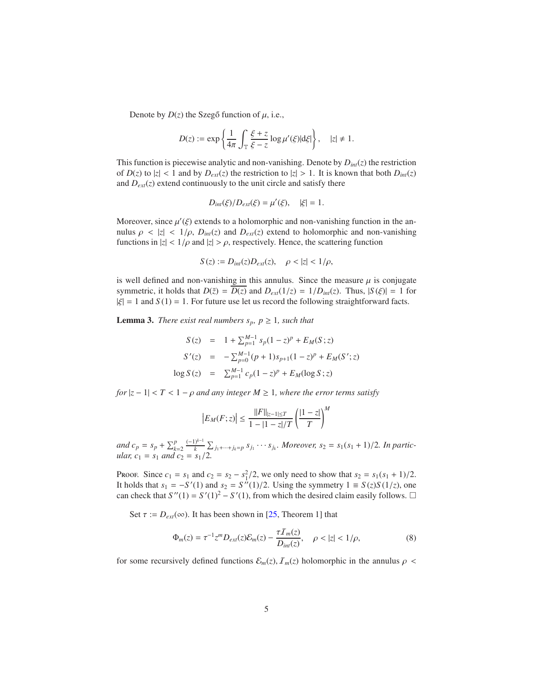<span id="page-4-2"></span>Denote by  $D(z)$  the Szegő function of  $\mu$ , i.e.,

$$
D(z) := \exp\left\{\frac{1}{4\pi} \int_{\mathbb{T}} \frac{\xi + z}{\xi - z} \log \mu'(\xi) \, d\xi \right\}, \quad |z| \neq 1.
$$

This function is piecewise analytic and non-vanishing. Denote by  $D_{int}(z)$  the restriction of  $D(z)$  to  $|z| < 1$  and by  $D_{ext}(z)$  the restriction to  $|z| > 1$ . It is known that both  $D_{int}(z)$ and  $D_{ext}(z)$  extend continuously to the unit circle and satisfy there

$$
D_{int}(\xi)/D_{ext}(\xi) = \mu'(\xi), \quad |\xi| = 1.
$$

Moreover, since  $\mu'(\xi)$  extends to a holomorphic and non-vanishing function in the annulus  $\rho \langle z | z | \langle 1/\rho, D_{int}(z) \rangle$  and  $D_{ext}(z)$  extend to holomorphic and non-vanishing functions in  $|z| < 1/\rho$  and  $|z| > \rho$ , respectively. Hence, the scattering function

$$
S(z):=D_{int}(z)D_{ext}(z),\quad \rho<|z|<1/\rho,
$$

is well defined and non-vanishing in this annulus. Since the measure  $\mu$  is conjugate symmetric, it holds that  $D(\bar{z}) = D(z)$  and  $D_{ext}(1/z) = 1/D_{int}(z)$ . Thus,  $|S(\xi)| = 1$  for  $|\xi| = 1$  and  $S(1) = 1$ . For future use let us record the following straightforward facts.

<span id="page-4-1"></span>**Lemma 3.** *There exist real numbers*  $s_p$ *,*  $p \geq 1$ *, such that* 

$$
S(z) = 1 + \sum_{p=1}^{M-1} s_p (1 - z)^p + E_M(S; z)
$$
  
\n
$$
S'(z) = -\sum_{p=0}^{M-1} (p + 1) s_{p+1} (1 - z)^p + E_M(S'; z)
$$
  
\n
$$
\log S(z) = \sum_{p=1}^{M-1} c_p (1 - z)^p + E_M(\log S; z)
$$

*for*  $|z - 1| < T < 1 - \rho$  *and any integer*  $M \ge 1$ *, where the error terms satisfy* 

$$
\left| E_M(F; z) \right| \le \frac{\|F\|_{|z-1| \le T}}{1 - |1 - z|/T} \left( \frac{|1 - z|}{T} \right)^M
$$

and  $c_p = s_p + \sum_{k=2}^p \frac{(-1)^{k-1}}{k} \sum_{j_1 + \dots + j_k = p} s_{j_1} \dots s_{j_k}$ . Moreover,  $s_2 = s_1(s_1 + 1)/2$ . In partic*ular,*  $c_1 = s_1$  *and*  $c_2 = s_1/2$ .

Proof. Since  $c_1 = s_1$  and  $c_2 = s_2 - s_1^2/2$ , we only need to show that  $s_2 = s_1(s_1 + 1)/2$ . It holds that  $s_1 = -S'(1)$  and  $s_2 = S''(1)/2$ . Using the symmetry  $1 \equiv S(z)S(1/z)$ , one can check that  $S''(1) = S'(1)^2 - S'(1)$ , from which the desired claim easily follows.  $\Box$ 

Set  $\tau := D_{ext}(\infty)$ . It has been shown in [\[25](#page-20-8), Theorem 1] that

<span id="page-4-0"></span>
$$
\Phi_m(z) = \tau^{-1} z^m D_{ext}(z) \mathcal{E}_m(z) - \frac{\tau \mathcal{I}_m(z)}{D_{int}(z)}, \quad \rho < |z| < 1/\rho,\tag{8}
$$

for some recursively defined functions  $\mathcal{E}_m(z)$ ,  $\mathcal{I}_m(z)$  holomorphic in the annulus  $\rho$  <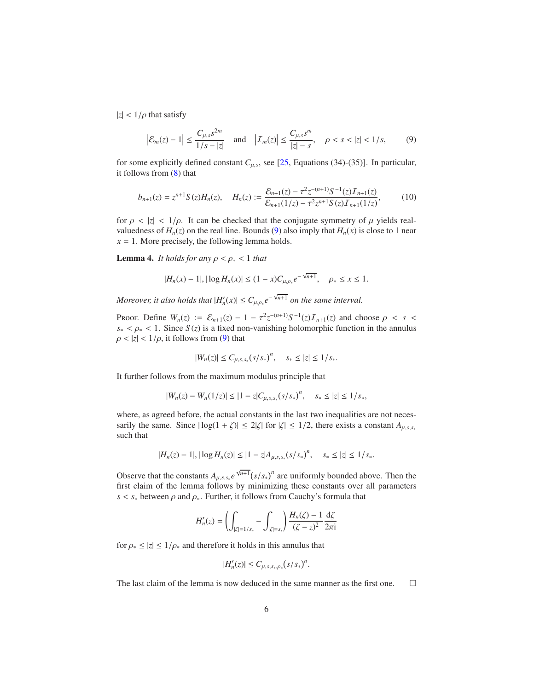<span id="page-5-3"></span> $|z|$  <  $1/\rho$  that satisfy

<span id="page-5-0"></span>
$$
\left|\mathcal{E}_m(z) - 1\right| \le \frac{C_{\mu,s}s^{2m}}{1/s - |z|} \quad \text{and} \quad \left|\mathcal{I}_m(z)\right| \le \frac{C_{\mu,s}s^m}{|z| - s}, \quad \rho < s < |z| < 1/s,\tag{9}
$$

for some explicitly defined constant  $C_{\mu,s}$ , see [\[25](#page-20-8), Equations (34)-(35)]. In particular, it follows from [\(8\)](#page-4-0) that

<span id="page-5-2"></span>
$$
b_{n+1}(z) = z^{n+1} S(z) H_n(z), \quad H_n(z) := \frac{\mathcal{E}_{n+1}(z) - \tau^2 z^{-(n+1)} S^{-1}(z) \mathcal{I}_{n+1}(z)}{\mathcal{E}_{n+1}(1/z) - \tau^2 z^{n+1} S(z) \mathcal{I}_{n+1}(1/z)},
$$
(10)

for  $\rho \langle |z| \rangle \langle 1/\rho$ . It can be checked that the conjugate symmetry of  $\mu$  yields realvaluedness of  $H_n(z)$  on the real line. Bounds [\(9\)](#page-5-0) also imply that  $H_n(x)$  is close to 1 near  $x = 1$ . More precisely, the following lemma holds.

<span id="page-5-1"></span>**Lemma 4.** *It holds for any*  $\rho < \rho_* < 1$  *that* 

$$
|H_n(x) - 1|, |\log H_n(x)| \le (1 - x)C_{\mu,\rho_*}e^{-\sqrt{n+1}}, \quad \rho_* \le x \le 1.
$$

*Moreover, it also holds that*  $|H'_n(x)| \leq C_{\mu,\rho,\epsilon} e^{-\sqrt{n+1}}$  *on the same interval.* 

Proof. Define  $W_n(z) := \mathcal{E}_{n+1}(z) - 1 - \tau^2 z^{-(n+1)} S^{-1}(z) \mathcal{I}_{n+1}(z)$  and choose  $\rho < s <$  $s_* < \rho_* < 1$ . Since  $S(z)$  is a fixed non-vanishing holomorphic function in the annulus  $\rho < |z| < 1/\rho$ , it follows from [\(9\)](#page-5-0) that

$$
|W_n(z)| \le C_{\mu,s,s_*}(s/s_*)^n, \quad s_* \le |z| \le 1/s_*.
$$

It further follows from the maximum modulus principle that

$$
|W_n(z) - W_n(1/z)| \le |1 - z| C_{\mu, s, s_*}(s/s_*)^n, \quad s_* \le |z| \le 1/s_*,
$$

where, as agreed before, the actual constants in the last two inequalities are not necessarily the same. Since  $|\log(1 + \zeta)| \le 2|\zeta|$  for  $|\zeta| \le 1/2$ , there exists a constant  $A_{\mu,s,s,*}$ such that

$$
|H_n(z) - 1|, |\log H_n(z)| \le |1 - z| A_{\mu, s, s_*} (s/s_*)^n, \quad s_* \le |z| \le 1/s_*.
$$

Observe that the constants  $A_{\mu,s,s,*}e^{\sqrt{n+1}}(s/s_*)^n$  are uniformly bounded above. Then the first claim of the lemma follows by minimizing these constants over all parameters  $s < s_*$  between  $\rho$  and  $\rho_*$ . Further, it follows from Cauchy's formula that

$$
H'_n(z) = \left(\int_{|\zeta|=1/s_*} - \int_{|\zeta|=s_*}\right) \frac{H_n(\zeta) - 1}{(\zeta - z)^2} \frac{d\zeta}{2\pi i}
$$

for  $\rho_* \leq |z| \leq 1/\rho_*$  and therefore it holds in this annulus that

$$
|H'_n(z)| \leq C_{\mu,s,s_*,\rho_*}(s/s_*)^n.
$$

The last claim of the lemma is now deduced in the same manner as the first one.  $\Box$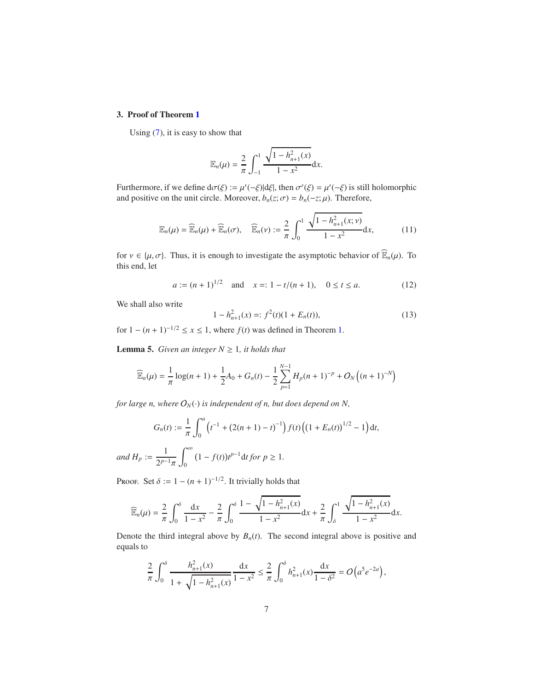## 3. Proof of Theorem [1](#page-2-4)

Using [\(7\)](#page-2-1), it is easy to show that

$$
\mathbb{E}_n(\mu) = \frac{2}{\pi} \int_{-1}^1 \frac{\sqrt{1 - h_{n+1}^2(x)}}{1 - x^2} dx.
$$

Furthermore, if we define  $d\sigma(\xi) := \mu'(-\xi)|d\xi|$ , then  $\sigma'(\xi) = \mu'(-\xi)$  is still holomorphic and positive on the unit circle. Moreover,  $b_n(z;\sigma) = b_n(-z;\mu)$ . Therefore,

<span id="page-6-3"></span>
$$
\mathbb{E}_n(\mu) = \widehat{\mathbb{E}}_n(\mu) + \widehat{\mathbb{E}}_n(\sigma), \quad \widehat{\mathbb{E}}_n(\nu) := \frac{2}{\pi} \int_0^1 \frac{\sqrt{1 - h_{n+1}^2(x; \nu)}}{1 - x^2} dx,
$$
 (11)

for  $v \in \{\mu, \sigma\}$ . Thus, it is enough to investigate the asymptotic behavior of  $\widehat{\mathbb{E}}_n(\mu)$ . To this end, let

<span id="page-6-1"></span>
$$
a := (n+1)^{1/2}
$$
 and  $x =: 1 - t/(n+1)$ ,  $0 \le t \le a$ . (12)

We shall also write

<span id="page-6-0"></span>
$$
1 - h_{n+1}^2(x) =: f^2(t)(1 + E_n(t)),
$$
\n(13)

<span id="page-6-2"></span>for  $1 - (n + 1)^{-1/2} \le x \le 1$ , where  $f(t)$  was defined in Theorem [1.](#page-2-4)

**Lemma 5.** *Given an integer*  $N \geq 1$ *, it holds that* 

$$
\widehat{\mathbb{E}}_n(\mu) = \frac{1}{\pi} \log(n+1) + \frac{1}{2} A_0 + G_n(t) - \frac{1}{2} \sum_{p=1}^{N-1} H_p(n+1)^{-p} + O_N\left((n+1)^{-N}\right)
$$

*for large n, where*  $O_N(\cdot)$  *is independent of n, but does depend on N,* 

$$
G_n(t) := \frac{1}{\pi} \int_0^a \left( t^{-1} + (2(n+1) - t)^{-1} \right) f(t) \left( \left( 1 + E_n(t) \right)^{1/2} - 1 \right) dt,
$$

*and*  $H_p := \frac{1}{2p}$  $2^{p-1}\pi$  $\mathbf{0}$  $(1 - f(t))t^{p-1}$  d*t for*  $p \ge 1$ *.* 

Proof. Set  $\delta := 1 - (n + 1)^{-1/2}$ . It trivially holds that

$$
\widehat{\mathbb{E}}_n(\mu) = \frac{2}{\pi} \int_0^{\delta} \frac{dx}{1 - x^2} - \frac{2}{\pi} \int_0^{\delta} \frac{1 - \sqrt{1 - h_{n+1}^2(x)}}{1 - x^2} dx + \frac{2}{\pi} \int_{\delta}^1 \frac{\sqrt{1 - h_{n+1}^2(x)}}{1 - x^2} dx.
$$

Denote the third integral above by  $B_n(t)$ . The second integral above is positive and equals to

$$
\frac{2}{\pi} \int_0^{\delta} \frac{h_{n+1}^2(x)}{1 + \sqrt{1 - h_{n+1}^2(x)}} \frac{dx}{1 - x^2} \le \frac{2}{\pi} \int_0^{\delta} h_{n+1}^2(x) \frac{dx}{1 - \delta^2} = O\left(a^5 e^{-2a}\right),
$$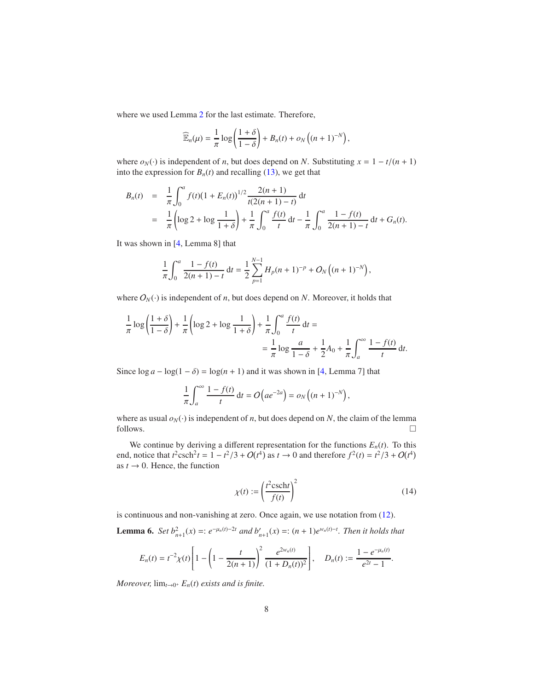<span id="page-7-2"></span>where we used Lemma [2](#page-3-0) for the last estimate. Therefore,

$$
\widehat{\mathbb{E}}_n(\mu) = \frac{1}{\pi} \log \left( \frac{1+\delta}{1-\delta} \right) + B_n(t) + o_N\left( (n+1)^{-N} \right),
$$

where  $o_N(\cdot)$  is independent of *n*, but does depend on *N*. Substituting  $x = 1 - t/(n + 1)$ into the expression for  $B_n(t)$  and recalling [\(13\)](#page-6-0), we get that

$$
B_n(t) = \frac{1}{\pi} \int_0^a f(t) (1 + E_n(t))^{1/2} \frac{2(n+1)}{t(2(n+1)-t)} dt
$$
  
=  $\frac{1}{\pi} \left( \log 2 + \log \frac{1}{1+\delta} \right) + \frac{1}{\pi} \int_0^a \frac{f(t)}{t} dt - \frac{1}{\pi} \int_0^a \frac{1 - f(t)}{2(n+1)-t} dt + G_n(t).$ 

It was shown in [\[4](#page-19-2), Lemma 8] that

$$
\frac{1}{\pi} \int_0^a \frac{1 - f(t)}{2(n+1) - t} dt = \frac{1}{2} \sum_{p=1}^{N-1} H_p(n+1)^{-p} + O_N\left((n+1)^{-N}\right),
$$

where  $O_N(\cdot)$  is independent of *n*, but does depend on *N*. Moreover, it holds that

$$
\frac{1}{\pi} \log \left( \frac{1+\delta}{1-\delta} \right) + \frac{1}{\pi} \left( \log 2 + \log \frac{1}{1+\delta} \right) + \frac{1}{\pi} \int_0^a \frac{f(t)}{t} dt =
$$
\n
$$
= \frac{1}{\pi} \log \frac{a}{1-\delta} + \frac{1}{2} A_0 + \frac{1}{\pi} \int_a^\infty \frac{1 - f(t)}{t} dt.
$$

Since  $\log a - \log(1 - \delta) = \log(n + 1)$  and it was shown in [\[4](#page-19-2), Lemma 7] that

$$
\frac{1}{\pi} \int_a^{\infty} \frac{1 - f(t)}{t} dt = O\left(a e^{-2a}\right) = o_N\left((n+1)^{-N}\right),
$$

where as usual  $o_N(\cdot)$  is independent of *n*, but does depend on *N*, the claim of the lemma follows. follows.  $\Box$ 

We continue by deriving a different representation for the functions  $E_n(t)$ . To this end, notice that  $t^2 \text{csch}^2 t = 1 - t^2/3 + O(t^4)$  as  $t \to 0$  and therefore  $f^2(t) = t^2/3 + O(t^4)$ as  $t \to 0$ . Hence, the function

<span id="page-7-1"></span>
$$
\chi(t) := \left(\frac{t^2 \text{csch}t}{f(t)}\right)^2\tag{14}
$$

.

<span id="page-7-0"></span>is continuous and non-vanishing at zero. Once again, we use notation from [\(12\)](#page-6-1).

**Lemma 6.** *Set*  $b_{n+1}^2(x) =: e^{-\mu_n(t)-2t}$  *and*  $b'_{n+1}(x) =: (n+1)e^{\mu_n(t)-t}$ *. Then it holds that* 

$$
E_n(t) = t^{-2} \chi(t) \left[ 1 - \left( 1 - \frac{t}{2(n+1)} \right)^2 \frac{e^{2w_n(t)}}{(1+D_n(t))^2} \right], \quad D_n(t) := \frac{1 - e^{-\mu_n(t)}}{e^{2t} - 1}
$$

*Moreover,*  $\lim_{t\to 0^+} E_n(t)$  *exists and is finite.*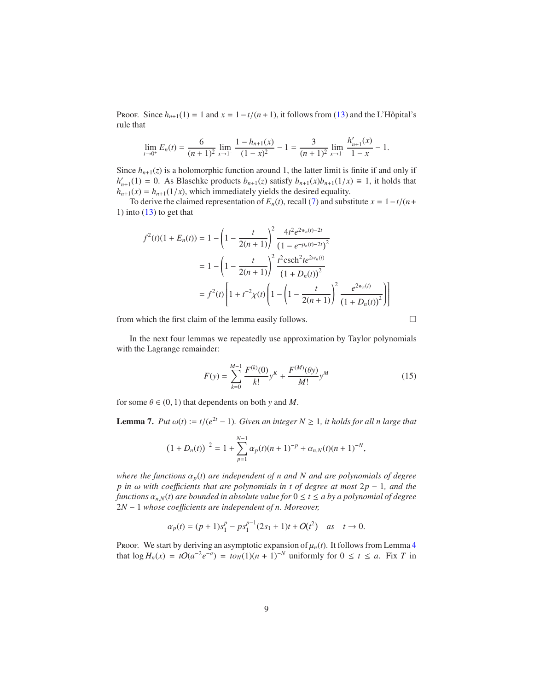Proof. Since  $h_{n+1}(1) = 1$  and  $x = 1 - t/(n+1)$ , it follows from [\(13\)](#page-6-0) and the L'Hôpital's rule that

$$
\lim_{t \to 0^+} E_n(t) = \frac{6}{(n+1)^2} \lim_{x \to 1^-} \frac{1 - h_{n+1}(x)}{(1-x)^2} - 1 = \frac{3}{(n+1)^2} \lim_{x \to 1^-} \frac{h'_{n+1}(x)}{1-x} - 1.
$$

Since  $h_{n+1}(z)$  is a holomorphic function around 1, the latter limit is finite if and only if  $h'_{n+1}(1) = 0$ . As Blaschke products  $b_{n+1}(z)$  satisfy  $b_{n+1}(x)b_{n+1}(1/x) \equiv 1$ , it holds that  $h_{n+1}(x) = h_{n+1}(1/x)$ , which immediately yields the desired equality.

To derive the claimed representation of  $E_n(t)$ , recall [\(7\)](#page-2-1) and substitute  $x = 1 - t/(n +$ 1) into  $(13)$  to get that

$$
f^{2}(t)(1 + E_{n}(t)) = 1 - \left(1 - \frac{t}{2(n+1)}\right)^{2} \frac{4t^{2}e^{2w_{n}(t) - 2t}}{(1 - e^{-\mu_{n}(t) - 2t})^{2}}
$$

$$
= 1 - \left(1 - \frac{t}{2(n+1)}\right)^{2} \frac{t^{2} \operatorname{csch}^{2} t e^{2w_{n}(t)}}{(1 + D_{n}(t))^{2}}
$$

$$
= f^{2}(t) \left[1 + t^{-2} \chi(t) \left(1 - \left(1 - \frac{t}{2(n+1)}\right)^{2} \frac{e^{2w_{n}(t)}}{(1 + D_{n}(t))^{2}}\right)\right]
$$

from which the first claim of the lemma easily follows.

In the next four lemmas we repeatedly use approximation by Taylor polynomials with the Lagrange remainder:

<span id="page-8-0"></span>
$$
F(y) = \sum_{k=0}^{M-1} \frac{F^{(k)}(0)}{k!} y^K + \frac{F^{(M)}(\theta y)}{M!} y^M
$$
 (15)

<span id="page-8-1"></span>for some  $\theta \in (0, 1)$  that dependents on both *y* and *M*.

**Lemma 7.** *Put*  $\omega(t) := t/(e^{2t} - 1)$ *. Given an integer*  $N \ge 1$ *, it holds for all n large that* 

$$
(1+D_n(t))^{-2} = 1 + \sum_{p=1}^{N-1} \alpha_p(t)(n+1)^{-p} + \alpha_{n,N}(t)(n+1)^{-N},
$$

*where the functions*  $\alpha_p(t)$  *are independent of n and N and are polynomials of degree p* in ω with coefficients that are polynomials in t of degree at most 2*p* − 1*, and the functions*  $\alpha_{n,N}(t)$  *are bounded in absolute value for*  $0 \le t \le a$  *by a polynomial of degree* 2*N* − 1 *whose coe*ffi*cients are independent of n. Moreover,*

$$
\alpha_p(t) = (p+1)s_1^p - ps_1^{p-1}(2s_1+1)t + O(t^2) \quad \text{as} \quad t \to 0.
$$

Proof. We start by deriving an asymptotic expansion of  $\mu_n(t)$ . It follows from Lemma [4](#page-5-1) that  $\log H_n(x) = tO(a^{-2}e^{-a}) = tO_N(1)(n+1)^{-N}$  uniformly for 0 ≤ *t* ≤ *a*. Fix *T* in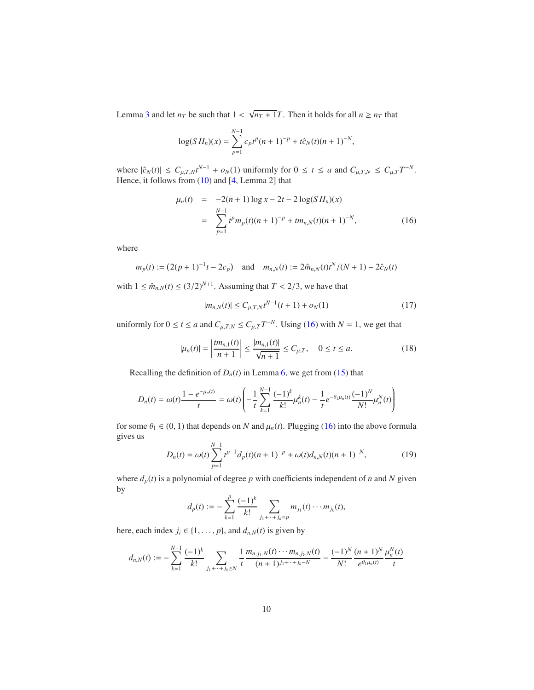<span id="page-9-4"></span>Lemma [3](#page-4-1) and let  $n_T$  be such that  $1 < \sqrt{n_T + 1}T$ . Then it holds for all  $n \ge n_T$  that

$$
\log(SH_n)(x) = \sum_{p=1}^{N-1} c_p t^p (n+1)^{-p} + t \hat{c}_N(t) (n+1)^{-N},
$$

where  $|\hat{c}_N(t)| \leq C_{\mu,T,N} t^{N-1} + o_N(1)$  uniformly for  $0 \leq t \leq a$  and  $C_{\mu,T,N} \leq C_{\mu,T} T^{-N}$ . Hence, it follows from [\(10\)](#page-5-2) and [\[4,](#page-19-2) Lemma 2] that

<span id="page-9-0"></span>
$$
\mu_n(t) = -2(n+1)\log x - 2t - 2\log(SH_n)(x)
$$
  
= 
$$
\sum_{p=1}^{N-1} t^p m_p(t)(n+1)^{-p} + t m_{n,N}(t)(n+1)^{-N},
$$
 (16)

where

$$
m_p(t) := (2(p+1)^{-1}t - 2c_p)
$$
 and  $m_{n,N}(t) := 2\hat{m}_{n,N}(t)t^N/(N+1) - 2\hat{c}_N(t)$ 

with  $1 \leq \hat{m}_{n,N}(t) \leq (3/2)^{N+1}$ . Assuming that  $T < 2/3$ , we have that

<span id="page-9-2"></span>
$$
|m_{n,N}(t)| \le C_{\mu,T,N} t^{N-1}(t+1) + o_N(1)
$$
\n(17)

uniformly for  $0 \le t \le a$  and  $C_{\mu,T,N} \le C_{\mu,T} T^{-N}$ . Using [\(16\)](#page-9-0) with  $N = 1$ , we get that

<span id="page-9-1"></span>
$$
|\mu_n(t)| = \left|\frac{tm_{n,1}(t)}{n+1}\right| \le \frac{|m_{n,1}(t)|}{\sqrt{n+1}} \le C_{\mu,T}, \quad 0 \le t \le a.
$$
 (18)

Recalling the definition of  $D_n(t)$  in Lemma [6,](#page-7-0) we get from [\(15\)](#page-8-0) that

$$
D_n(t) = \omega(t) \frac{1 - e^{-\mu_n(t)}}{t} = \omega(t) \left( -\frac{1}{t} \sum_{k=1}^{N-1} \frac{(-1)^k}{k!} \mu_n^k(t) - \frac{1}{t} e^{-\theta_1 \mu_n(t)} \frac{(-1)^N}{N!} \mu_n^N(t) \right)
$$

for some  $\theta_1 \in (0, 1)$  that depends on *N* and  $\mu_n(t)$ . Plugging [\(16\)](#page-9-0) into the above formula gives us *N*−1

<span id="page-9-3"></span>
$$
D_n(t) = \omega(t) \sum_{p=1}^{N-1} t^{p-1} d_p(t) (n+1)^{-p} + \omega(t) d_{n,N}(t) (n+1)^{-N},
$$
\n(19)

where  $d_p(t)$  is a polynomial of degree  $p$  with coefficients independent of  $n$  and  $N$  given by

$$
d_p(t) := -\sum_{k=1}^p \frac{(-1)^k}{k!} \sum_{j_1 + \dots + j_k = p} m_{j_1}(t) \cdots m_{j_k}(t),
$$

here, each index  $j_i \in \{1, \ldots, p\}$ , and  $d_{n,N}(t)$  is given by

$$
d_{n,N}(t) := -\sum_{k=1}^{N-1} \frac{(-1)^k}{k!} \sum_{j_1+\cdots+j_k \geq N} \frac{1}{t} \frac{m_{n,j_1,N}(t) \cdots m_{n,j_k,N}(t)}{(n+1)^{j_1+\cdots+j_k-N}} - \frac{(-1)^N}{N!} \frac{(n+1)^N}{e^{\theta_1 \mu_n(t)}} \frac{\mu_n^N(t)}{t}
$$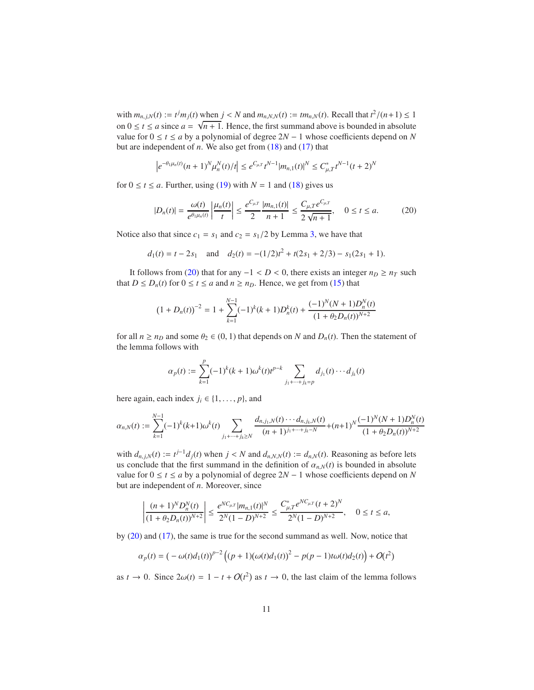with  $m_{n,j,N}(t) := t^j m_j(t)$  when  $j < N$  and  $m_{n,N,N}(t) := tm_{n,N}(t)$ . Recall that  $t^2/(n+1) \le 1$ on  $0 \le t \le a$  since  $a = \sqrt{n+1}$ . Hence, the first summand above is bounded in absolute value for  $0 \le t \le a$  by a polynomial of degree  $2N - 1$  whose coefficients depend on *N* but are independent of  $n$ . We also get from  $(18)$  and  $(17)$  that

$$
\left|e^{-\theta_1\mu_n(t)}(n+1)^N\mu_n^N(t)/t\right|\leq e^{C_{\mu,T}}t^{N-1}|m_{n,1}(t)|^N\leq C_{\mu,T}^*t^{N-1}(t+2)^N
$$

for  $0 \le t \le a$ . Further, using [\(19\)](#page-9-3) with  $N = 1$  and [\(18\)](#page-9-1) gives us

<span id="page-10-0"></span>
$$
|D_n(t)| = \frac{\omega(t)}{e^{\theta_1 \mu_n(t)}} \left| \frac{\mu_n(t)}{t} \right| \le \frac{e^{C_{\mu,T}}}{2} \frac{|m_{n,1}(t)|}{n+1} \le \frac{C_{\mu,T} e^{C_{\mu,T}}}{2\sqrt{n+1}}, \quad 0 \le t \le a. \tag{20}
$$

Notice also that since  $c_1 = s_1$  and  $c_2 = s_1/2$  by Lemma [3,](#page-4-1) we have that

$$
d_1(t) = t - 2s_1
$$
 and  $d_2(t) = -(1/2)t^2 + t(2s_1 + 2/3) - s_1(2s_1 + 1)$ .

It follows from [\(20\)](#page-10-0) that for any  $-1 < D < 0$ , there exists an integer  $n_D ≥ n_T$  such that  $D \le D_n(t)$  for  $0 \le t \le a$  and  $n \ge n_D$ . Hence, we get from [\(15\)](#page-8-0) that

$$
(1 + D_n(t))^{-2} = 1 + \sum_{k=1}^{N-1} (-1)^k (k+1) D_n^k(t) + \frac{(-1)^N (N+1) D_n^N(t)}{(1 + \theta_2 D_n(t))^{N+2}}
$$

for all  $n \ge n_D$  and some  $\theta_2 \in (0, 1)$  that depends on *N* and  $D_n(t)$ . Then the statement of the lemma follows with

$$
\alpha_p(t) := \sum_{k=1}^p (-1)^k (k+1) \omega^k(t) t^{p-k} \sum_{j_1 + \dots + j_k = p} d_{j_1}(t) \cdots d_{j_k}(t)
$$

here again, each index  $j_i \in \{1, \ldots, p\}$ , and

$$
\alpha_{n,N}(t) := \sum_{k=1}^{N-1} (-1)^k (k+1) \omega^k(t) \sum_{j_1 + \dots + j_k \ge N} \frac{d_{n,j_1,N}(t) \cdots d_{n,j_k,N}(t)}{(n+1)^{j_1 + \dots + j_k - N}} + (n+1)^N \frac{(-1)^N (N+1) D_n^N(t)}{(1 + \theta_2 D_n(t))^{N+2}}
$$

with  $d_{n,j,N}(t) := t^{j-1} d_j(t)$  when  $j < N$  and  $d_{n,N,N}(t) := d_{n,N}(t)$ . Reasoning as before lets us conclude that the first summand in the definition of  $\alpha_{n,N}(t)$  is bounded in absolute value for  $0 \le t \le a$  by a polynomial of degree  $2N - 1$  whose coefficients depend on *N* but are independent of *n*. Moreover, since

$$
\left|\frac{(n+1)^ND_n^N(t)}{(1+\theta_2D_n(t))^{N+2}}\right|\leq \frac{e^{NC_{\mu,T}}|m_{n,1}(t)|^N}{2^N(1-D)^{N+2}}\leq \frac{C_{\mu,T}^*e^{NC_{\mu,T}}(t+2)^N}{2^N(1-D)^{N+2}},\quad 0\leq t\leq a,
$$

by [\(20\)](#page-10-0) and [\(17\)](#page-9-2), the same is true for the second summand as well. Now, notice that

$$
\alpha_p(t) = \left( -\omega(t)d_1(t) \right)^{p-2} \left( (p+1)(\omega(t)d_1(t))^2 - p(p-1)t\omega(t)d_2(t) \right) + O(t^2)
$$

as  $t \to 0$ . Since  $2\omega(t) = 1 - t + O(t^2)$  as  $t \to 0$ , the last claim of the lemma follows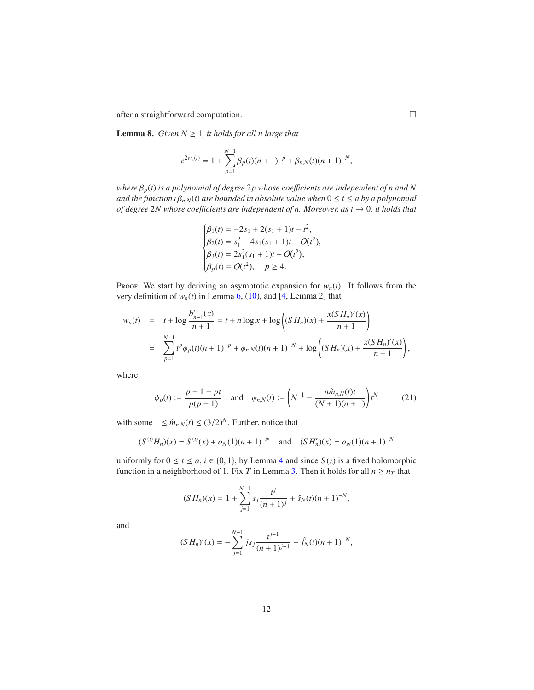<span id="page-11-2"></span><span id="page-11-1"></span>after a straightforward computation.

**Lemma 8.** *Given*  $N \geq 1$ *, it holds for all n large that* 

$$
e^{2w_n(t)} = 1 + \sum_{p=1}^{N-1} \beta_p(t)(n+1)^{-p} + \beta_{n,N}(t)(n+1)^{-N},
$$

*where* β*p*(*t*) *is a polynomial of degree* 2*p whose coe*ffi*cients are independent of n and N and the functions*  $\beta_{n,N}(t)$  *are bounded in absolute value when*  $0 \le t \le a$  *by a polynomial of degree* 2*N whose coe*ffi*cients are independent of n. Moreover, as t* → 0*, it holds that*

$$
\begin{cases}\n\beta_1(t) = -2s_1 + 2(s_1 + 1)t - t^2, \\
\beta_2(t) = s_1^2 - 4s_1(s_1 + 1)t + O(t^2), \\
\beta_3(t) = 2s_1^2(s_1 + 1)t + O(t^2), \\
\beta_p(t) = O(t^2), \quad p \ge 4.\n\end{cases}
$$

Proof. We start by deriving an asymptotic expansion for  $w_n(t)$ . It follows from the very definition of  $w_n(t)$  in Lemma [6,](#page-7-0) [\(10\)](#page-5-2), and [\[4,](#page-19-2) Lemma 2] that

$$
w_n(t) = t + \log \frac{b'_{n+1}(x)}{n+1} = t + n \log x + \log \left( (S H_n)(x) + \frac{x(S H_n)'(x)}{n+1} \right)
$$
  
= 
$$
\sum_{p=1}^{N-1} t^p \phi_p(t) (n+1)^{-p} + \phi_{n,N}(t) (n+1)^{-N} + \log \left( (S H_n)(x) + \frac{x(S H_n)'(x)}{n+1} \right),
$$

where

<span id="page-11-0"></span>
$$
\phi_p(t) := \frac{p+1-pt}{p(p+1)} \quad \text{and} \quad \phi_{n,N}(t) := \left(N^{-1} - \frac{n\hat{m}_{n,N}(t)t}{(N+1)(n+1)}\right)t^N \tag{21}
$$

with some  $1 \leq \hat{m}_{n,N}(t) \leq (3/2)^N$ . Further, notice that

$$
(S^{(i)}H_n)(x) = S^{(i)}(x) + o_N(1)(n+1)^{-N}
$$
 and  $(SH'_n)(x) = o_N(1)(n+1)^{-N}$ 

uniformly for  $0 \le t \le a$ ,  $i \in \{0, 1\}$ , by Lemma [4](#page-5-1) and since  $S(z)$  is a fixed holomorphic function in a neighborhood of 1. Fix *T* in Lemma [3.](#page-4-1) Then it holds for all  $n \ge n<sub>T</sub>$  that

$$
(S H_n)(x) = 1 + \sum_{j=1}^{N-1} s_j \frac{t^j}{(n+1)^j} + \hat{s}_N(t)(n+1)^{-N},
$$

and

$$
(S H_n)'(x) = -\sum_{j=1}^{N-1} j s_j \frac{t^{j-1}}{(n+1)^{j-1}} - \hat{f}_N(t)(n+1)^{-N},
$$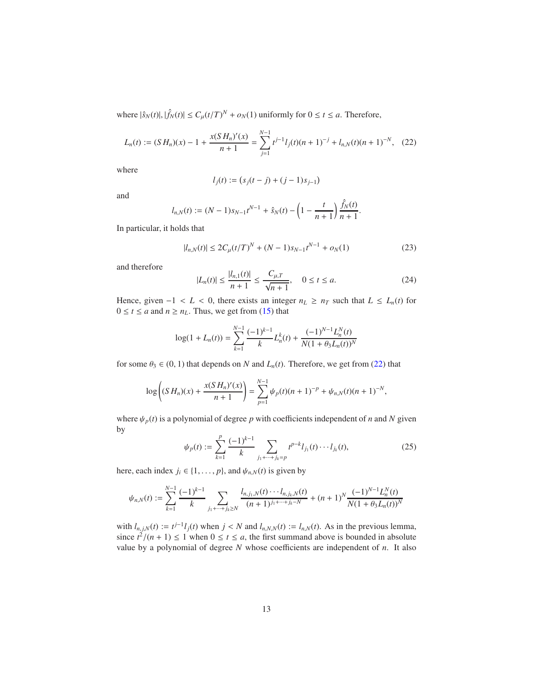where  $|\hat{s}_N(t)|, |\hat{f}_N(t)| \le C_\mu (t/T)^N + o_N(1)$  uniformly for  $0 \le t \le a$ . Therefore,

<span id="page-12-0"></span>
$$
L_n(t) := (SH_n)(x) - 1 + \frac{x(SH_n)'(x)}{n+1} = \sum_{j=1}^{N-1} t^{j-1} l_j(t) (n+1)^{-j} + l_{n,N}(t) (n+1)^{-N}, \quad (22)
$$

where

$$
l_j(t) := (s_j(t-j) + (j-1)s_{j-1})
$$

and

$$
l_{n,N}(t) := (N-1)s_{N-1}t^{N-1} + \hat{s}_N(t) - \left(1 - \frac{t}{n+1}\right)\frac{\hat{f}_N(t)}{n+1}.
$$

In particular, it holds that

<span id="page-12-2"></span>
$$
|l_{n,N}(t)| \le 2C_{\mu}(t/T)^{N} + (N-1)s_{N-1}t^{N-1} + o_{N}(1)
$$
\n(23)

and therefore

<span id="page-12-1"></span>
$$
|L_n(t)| \le \frac{|l_{n,1}(t)|}{n+1} \le \frac{C_{\mu,T}}{\sqrt{n+1}}, \quad 0 \le t \le a.
$$
 (24)

Hence, given  $-1 < L < 0$ , there exists an integer  $n_L \geq n_T$  such that  $L \leq L_n(t)$  for  $0 \le t \le a$  and  $n \ge n_L$ . Thus, we get from [\(15\)](#page-8-0) that

$$
\log(1 + L_n(t)) = \sum_{k=1}^{N-1} \frac{(-1)^{k-1}}{k} L_n^k(t) + \frac{(-1)^{N-1} L_n^N(t)}{N(1 + \theta_3 L_n(t))^N}
$$

for some  $\theta_3 \in (0, 1)$  that depends on *N* and  $L_n(t)$ . Therefore, we get from [\(22\)](#page-12-0) that

$$
\log\left((S H_n)(x) + \frac{x(S H_n)'(x)}{n+1}\right) = \sum_{p=1}^{N-1} \psi_p(t)(n+1)^{-p} + \psi_{n,N}(t)(n+1)^{-N},
$$

where  $\psi_p(t)$  is a polynomial of degree p with coefficients independent of *n* and N given by

<span id="page-12-3"></span>
$$
\psi_p(t) := \sum_{k=1}^p \frac{(-1)^{k-1}}{k} \sum_{j_1 + \dots + j_k = p} t^{p-k} l_{j_1}(t) \cdots l_{j_k}(t),\tag{25}
$$

here, each index  $j_i \in \{1, \ldots, p\}$ , and  $\psi_{n,N}(t)$  is given by

$$
\psi_{n,N}(t) := \sum_{k=1}^{N-1} \frac{(-1)^{k-1}}{k} \sum_{j_1 + \dots + j_k \ge N} \frac{l_{n,j_1,N}(t) \cdots l_{n,j_k,N}(t)}{(n+1)^{j_1 + \dots + j_k - N}} + (n+1)^N \frac{(-1)^{N-1} L_n^N(t)}{N(1 + \theta_3 L_n(t))^N}
$$

with  $l_{n,j,N}(t) := t^{j-1}l_j(t)$  when  $j < N$  and  $l_{n,N,N}(t) := l_{n,N}(t)$ . As in the previous lemma, since  $t^2/(n+1) \le 1$  when  $0 \le t \le a$ , the first summand above is bounded in absolute value by a polynomial of degree *N* whose coefficients are independent of *n*. It also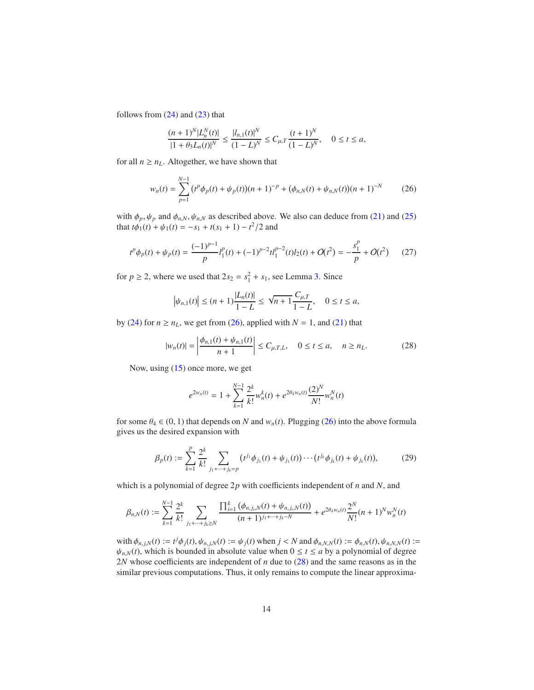follows from  $(24)$  and  $(23)$  that

$$
\frac{(n+1)^N |L_n^N(t)|}{|1+\theta_3 L_n(t)|^N} \le \frac{|l_{n,1}(t)|^N}{(1-L)^N} \le C_{\mu,T} \frac{(t+1)^N}{(1-L)^N}, \quad 0 \le t \le a,
$$

for all  $n \geq n_L$ . Altogether, we have shown that

<span id="page-13-0"></span>
$$
w_n(t) = \sum_{p=1}^{N-1} (t^p \phi_p(t) + \psi_p(t))(n+1)^{-p} + (\phi_{n,N}(t) + \psi_{n,N}(t))(n+1)^{-N}
$$
 (26)

with  $\phi_p, \psi_p$  and  $\phi_{n,N}, \psi_{n,N}$  as described above. We also can deduce from [\(21\)](#page-11-0) and [\(25\)](#page-12-3) that  $t\phi_1(t) + \psi_1(t) = -s_1 + t(s_1 + 1) - t^2/2$  and

<span id="page-13-2"></span>
$$
t^{p}\phi_{p}(t) + \psi_{p}(t) = \frac{(-1)^{p-1}}{p}l_{1}^{p}(t) + (-1)^{p-2}tl_{1}^{p-2}(t)l_{2}(t) + O(t^{2}) = -\frac{s_{1}^{p}}{p} + O(t^{2})
$$
 (27)

for  $p \ge 2$ , where we used that  $2s_2 = s_1^2 + s_1$ , see Lemma [3.](#page-4-1) Since

$$
|\psi_{n,1}(t)| \le (n+1)\frac{|L_n(t)|}{1-L} \le \sqrt{n+1}\frac{C_{\mu,T}}{1-L}, \quad 0 \le t \le a,
$$

by [\(24\)](#page-12-1) for  $n \ge n_L$ , we get from [\(26\)](#page-13-0), applied with  $N = 1$ , and [\(21\)](#page-11-0) that

<span id="page-13-1"></span>
$$
|w_n(t)| = \left| \frac{\phi_{n,1}(t) + \psi_{n,1}(t)}{n+1} \right| \le C_{\mu,T,L}, \quad 0 \le t \le a, \quad n \ge n_L.
$$
 (28)

Now, using [\(15\)](#page-8-0) once more, we get

$$
e^{2w_n(t)} = 1 + \sum_{k=1}^{N-1} \frac{2^k}{k!} w_n^k(t) + e^{2\theta_4 w_n(t)} \frac{(2)^N}{N!} w_n^N(t)
$$

for some  $\theta_4 \in (0, 1)$  that depends on *N* and  $w_n(t)$ . Plugging [\(26\)](#page-13-0) into the above formula gives us the desired expansion with

<span id="page-13-3"></span>
$$
\beta_p(t) := \sum_{k=1}^p \frac{2^k}{k!} \sum_{j_1 + \dots + j_k = p} (t^{j_1} \phi_{j_1}(t) + \psi_{j_1}(t)) \cdots (t^{j_k} \phi_{j_k}(t) + \psi_{j_k}(t)),
$$
\n(29)

which is a polynomial of degree 2*p* with coefficients independent of *n* and *N*, and

$$
\beta_{n,N}(t) := \sum_{k=1}^{N-1} \frac{2^k}{k!} \sum_{j_1 + \dots + j_k \geq N} \frac{\prod_{i=1}^k (\phi_{n,j_i,N}(t) + \psi_{n,j_i,N}(t))}{(n+1)^{j_1 + \dots + j_k - N}} + e^{2\theta_4 w_n(t)} \frac{2^N}{N!} (n+1)^N w_n^N(t)
$$

with  $\phi_{n,j,N}(t) := t^j \phi_j(t), \psi_{n,j,N}(t) := \psi_j(t)$  when  $j < N$  and  $\phi_{n,N,N}(t) := \phi_{n,N}(t), \psi_{n,N,N}(t) :=$  $\psi_{n,N}(t)$ , which is bounded in absolute value when  $0 \le t \le a$  by a polynomial of degree 2*N* whose coefficients are independent of *n* due to [\(28\)](#page-13-1) and the same reasons as in the similar previous computations. Thus, it only remains to compute the linear approxima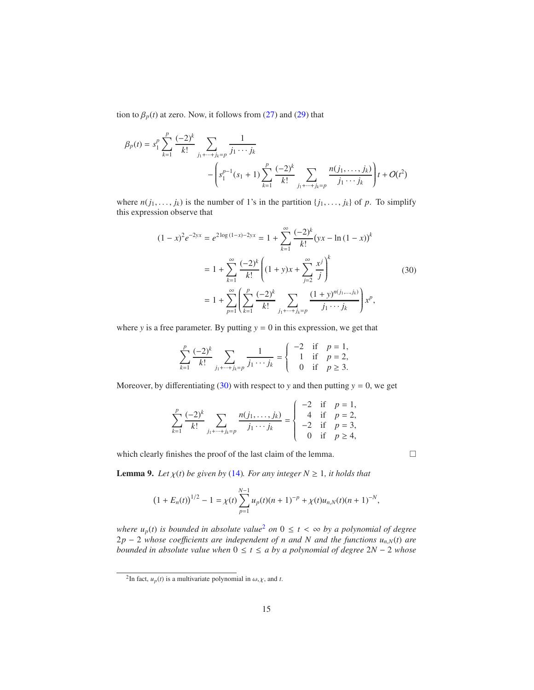tion to  $\beta_p(t)$  at zero. Now, it follows from [\(27\)](#page-13-2) and [\(29\)](#page-13-3) that

$$
\beta_p(t) = s_1^p \sum_{k=1}^p \frac{(-2)^k}{k!} \sum_{j_1 + \dots + j_k = p} \frac{1}{j_1 \cdots j_k}
$$

$$
- \left( s_1^{p-1}(s_1 + 1) \sum_{k=1}^p \frac{(-2)^k}{k!} \sum_{j_1 + \dots + j_k = p} \frac{n(j_1, \dots, j_k)}{j_1 \cdots j_k} \right) t + O(t^2)
$$

where  $n(j_1, \ldots, j_k)$  is the number of 1's in the partition  $\{j_1, \ldots, j_k\}$  of *p*. To simplify this expression observe that

<span id="page-14-0"></span>
$$
(1 - x)^2 e^{-2yx} = e^{2\log(1-x) - 2yx} = 1 + \sum_{k=1}^{\infty} \frac{(-2)^k}{k!} (yx - \ln(1 - x))^k
$$
  

$$
= 1 + \sum_{k=1}^{\infty} \frac{(-2)^k}{k!} \left( (1 + y)x + \sum_{j=2}^{\infty} \frac{x^j}{j} \right)^k
$$
  

$$
= 1 + \sum_{p=1}^{\infty} \left( \sum_{k=1}^p \frac{(-2)^k}{k!} \sum_{j_1 + \dots + j_k = p} \frac{(1 + y)^{n(j_1, \dots, j_k)}}{j_1 \cdots j_k} \right) x^p,
$$
 (30)

where *y* is a free parameter. By putting  $y = 0$  in this expression, we get that

$$
\sum_{k=1}^{p} \frac{(-2)^k}{k!} \sum_{j_1 + \dots + j_k = p} \frac{1}{j_1 \cdots j_k} = \begin{cases} -2 & \text{if } p = 1, \\ 1 & \text{if } p = 2, \\ 0 & \text{if } p \ge 3. \end{cases}
$$

Moreover, by differentiating [\(30\)](#page-14-0) with respect to *y* and then putting  $y = 0$ , we get

$$
\sum_{k=1}^{p} \frac{(-2)^k}{k!} \sum_{j_1 + \dots + j_k = p} \frac{n(j_1, \dots, j_k)}{j_1 \cdots j_k} = \begin{cases} -2 & \text{if } p = 1, \\ 4 & \text{if } p = 2, \\ -2 & \text{if } p = 3, \\ 0 & \text{if } p \ge 4, \end{cases}
$$

which clearly finishes the proof of the last claim of the lemma.

<span id="page-14-2"></span>**Lemma 9.** *Let*  $\chi(t)$  *be given by* [\(14\)](#page-7-1)*. For any integer*  $N \ge 1$ *, it holds that* 

$$
(1 + E_n(t))^{1/2} - 1 = \chi(t) \sum_{p=1}^{N-1} u_p(t)(n+1)^{-p} + \chi(t)u_{n,N}(t)(n+1)^{-N},
$$

*where*  $u_p(t)$  *is bounded in absolute value<sup>[2](#page-14-1)</sup> <i>on*  $0 \le t < \infty$  *by a polynomial of degree*  $2p - 2$  *whose coefficients are independent of n and N and the functions*  $u_{n,N}(t)$  are *bounded in absolute value when* 0 ≤ *t* ≤ *a by a polynomial of degree* 2*N* − 2 *whose*

<span id="page-14-1"></span><sup>&</sup>lt;sup>2</sup>In fact,  $u_p(t)$  is a multivariate polynomial in  $\omega, \chi$ , and *t*.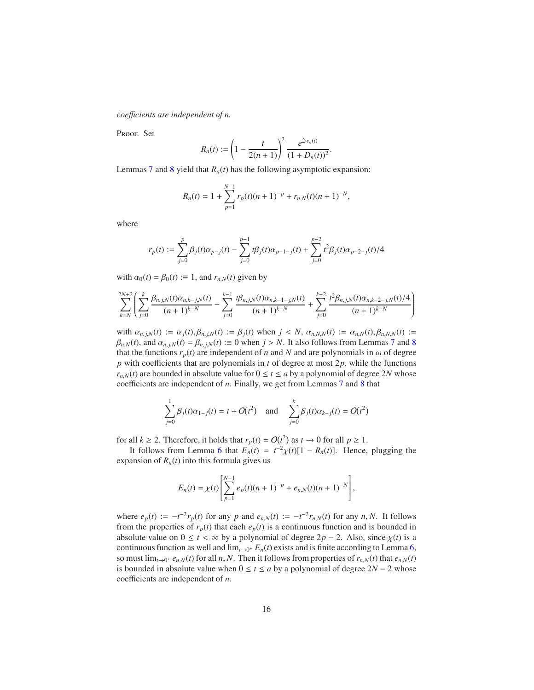*coe*ffi*cients are independent of n.*

PROOF. Set

$$
R_n(t) := \left(1 - \frac{t}{2(n+1)}\right)^2 \frac{e^{2w_n(t)}}{(1+D_n(t))^2}.
$$

Lemmas [7](#page-8-1) and [8](#page-11-1) yield that  $R_n(t)$  has the following asymptotic expansion:

$$
R_n(t) = 1 + \sum_{p=1}^{N-1} r_p(t)(n+1)^{-p} + r_{n,N}(t)(n+1)^{-N},
$$

where

$$
r_p(t):=\sum_{j=0}^p\beta_j(t)\alpha_{p-j}(t)-\sum_{j=0}^{p-1}t\beta_j(t)\alpha_{p-1-j}(t)+\sum_{j=0}^{p-2}t^2\beta_j(t)\alpha_{p-2-j}(t)/4
$$

with  $\alpha_0(t) = \beta_0(t) := 1$ , and  $r_{n,N}(t)$  given by

$$
\sum_{k=N}^{2N+2} \left( \sum_{j=0}^k \frac{\beta_{n,j,N}(t)\alpha_{n,k-j,N}(t)}{(n+1)^{k-N}} - \sum_{j=0}^{k-1} \frac{t\beta_{n,j,N}(t)\alpha_{n,k-1-j,N}(t)}{(n+1)^{k-N}} + \sum_{j=0}^{k-2} \frac{t^2\beta_{n,j,N}(t)\alpha_{n,k-2-j,N}(t)/4}{(n+1)^{k-N}} \right)
$$

with  $\alpha_{n,j,N}(t) := \alpha_j(t), \beta_{n,j,N}(t) := \beta_j(t)$  when  $j < N$ ,  $\alpha_{n,N,N}(t) := \alpha_{n,N}(t), \beta_{n,N,N}(t) :=$  $\beta_{n,N}(t)$ , and  $\alpha_{n,i,N}(t) = \beta_{n,i,N}(t) := 0$  when  $j > N$ . It also follows from Lemmas [7](#page-8-1) and [8](#page-11-1) that the functions  $r_p(t)$  are independent of *n* and *N* and are polynomials in  $\omega$  of degree *p* with coefficients that are polynomials in *t* of degree at most 2*p*, while the functions  $r_{n,N}(t)$  are bounded in absolute value for  $0 \le t \le a$  by a polynomial of degree 2*N* whose coefficients are independent of *n*. Finally, we get from Lemmas [7](#page-8-1) and [8](#page-11-1) that

$$
\sum_{j=0}^{1} \beta_j(t)\alpha_{1-j}(t) = t + O(t^2) \text{ and } \sum_{j=0}^{k} \beta_j(t)\alpha_{k-j}(t) = O(t^2)
$$

for all  $k \ge 2$ . Therefore, it holds that  $r_p(t) = O(t^2)$  as  $t \to 0$  for all  $p \ge 1$ .

It follows from Lemma [6](#page-7-0) that  $E_n(t) = t^{-2} \chi(t) [1 - R_n(t)]$ . Hence, plugging the expansion of  $R_n(t)$  into this formula gives us

$$
E_n(t) = \chi(t) \left[ \sum_{p=1}^{N-1} e_p(t)(n+1)^{-p} + e_{n,N}(t)(n+1)^{-N} \right],
$$

where  $e_p(t) := -t^{-2}r_p(t)$  for any *p* and  $e_{n,N}(t) := -t^{-2}r_{n,N}(t)$  for any *n*, *N*. It follows from the properties of  $r_p(t)$  that each  $e_p(t)$  is a continuous function and is bounded in absolute value on  $0 \le t < \infty$  by a polynomial of degree  $2p - 2$ . Also, since  $\chi(t)$  is a continuous function as well and  $\lim_{t\to 0^+} E_n(t)$  exists and is finite according to Lemma [6,](#page-7-0) so must  $\lim_{t\to 0^+} e_{n,N}(t)$  for all *n*, *N*. Then it follows from properties of  $r_{n,N}(t)$  that  $e_{n,N}(t)$ is bounded in absolute value when  $0 \le t \le a$  by a polynomial of degree  $2N - 2$  whose coefficients are independent of *n*.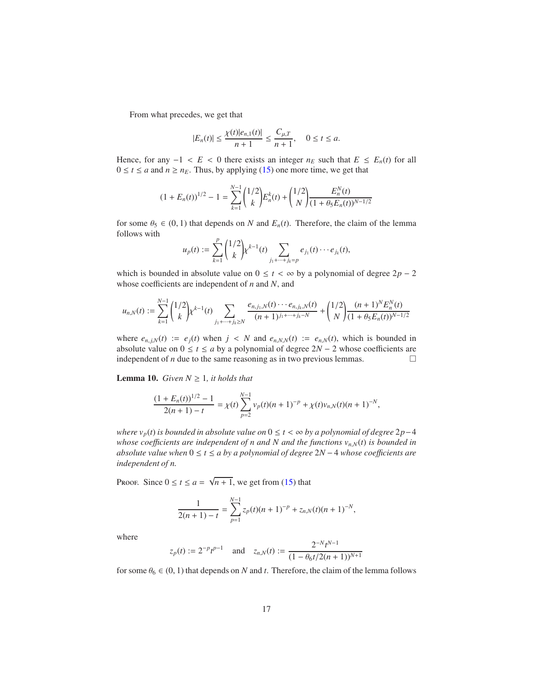From what precedes, we get that

$$
|E_n(t)| \le \frac{\chi(t)|e_{n,1}(t)|}{n+1} \le \frac{C_{\mu,T}}{n+1}, \quad 0 \le t \le a.
$$

Hence, for any  $-1 < E < 0$  there exists an integer  $n_E$  such that  $E \le E_n(t)$  for all  $0 \le t \le a$  and  $n \ge n_E$ . Thus, by applying [\(15\)](#page-8-0) one more time, we get that

$$
(1 + E_n(t))^{1/2} - 1 = \sum_{k=1}^{N-1} {1/2 \choose k} E_n^k(t) + {1/2 \choose N} \frac{E_n^N(t)}{(1 + \theta_5 E_n(t))^{N-1/2}}
$$

for some  $\theta_5 \in (0, 1)$  that depends on *N* and  $E_n(t)$ . Therefore, the claim of the lemma follows with *p*

$$
u_p(t) := \sum_{k=1}^p {1/2 \choose k} k^{k-1}(t) \sum_{j_1 + \dots + j_k = p} e_{j_1}(t) \cdots e_{j_k}(t),
$$

which is bounded in absolute value on  $0 \le t < \infty$  by a polynomial of degree  $2p - 2$ whose coefficients are independent of *n* and *N*, and

$$
u_{n,N}(t) := \sum_{k=1}^{N-1} {1/2 \choose k} k^{k-1}(t) \sum_{j_1 + \dots + j_k \ge N} \frac{e_{n,j_1,N}(t) \cdots e_{n,j_k,N}(t)}{(n+1)^{j_1 + \dots + j_k - N}} + {1/2 \choose N} \frac{(n+1)^N E_n^N(t)}{(1 + \theta_5 E_n(t))^{N-1/2}}
$$

where  $e_{n,j,N}(t) := e_j(t)$  when  $j < N$  and  $e_{n,N,N}(t) := e_{n,N}(t)$ , which is bounded in absolute value on  $0 \le t \le a$  by a polynomial of degree  $2N - 2$  whose coefficients are independent of *n* due to the same reasoning as in two previous lemmas.  $□$ independent of *n* due to the same reasoning as in two previous lemmas.

<span id="page-16-0"></span>**Lemma 10.** *Given*  $N \geq 1$ *, it holds that* 

$$
\frac{(1+E_n(t))^{1/2}-1}{2(n+1)-t}=\chi(t)\sum_{p=2}^{N-1}v_p(t)(n+1)^{-p}+\chi(t)v_{n,N}(t)(n+1)^{-N},
$$

*where vp*(*t*) *is bounded in absolute value on* 0 ≤ *t* < ∞ *by a polynomial of degree* 2*p*−4 *whose coe*ffi*cients are independent of n and N and the functions vn*,*N*(*t*) *is bounded in absolute value when* 0 ≤ *t* ≤ *a by a polynomial of degree* 2*N* − 4 *whose coe*ffi*cients are independent of n.*

Proof. Since  $0 \le t \le a = \sqrt{n+1}$ , we get from [\(15\)](#page-8-0) that

$$
\frac{1}{2(n+1)-t} = \sum_{p=1}^{N-1} z_p(t)(n+1)^{-p} + z_{n,N}(t)(n+1)^{-N},
$$

where

$$
z_p(t) := 2^{-p}t^{p-1}
$$
 and  $z_{n,N}(t) := \frac{2^{-N}t^{N-1}}{(1 - \theta_6t/2(n+1))^{N+1}}$ 

for some  $\theta_6 \in (0, 1)$  that depends on *N* and *t*. Therefore, the claim of the lemma follows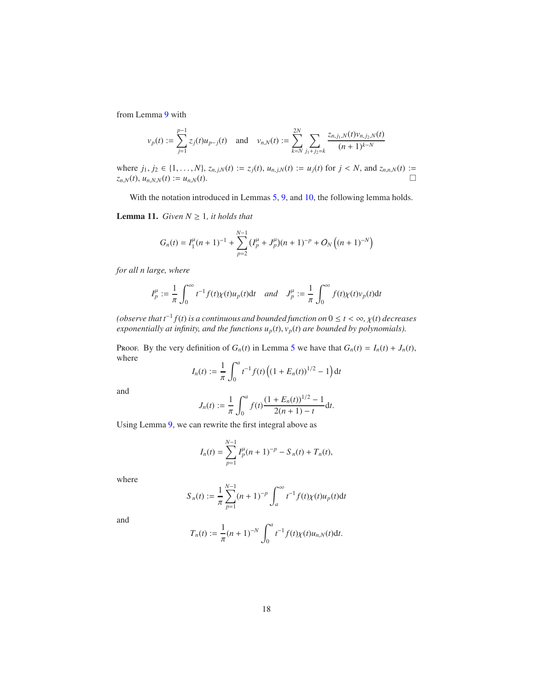from Lemma [9](#page-14-2) with

$$
v_p(t) := \sum_{j=1}^{p-1} z_j(t) u_{p-j}(t) \text{ and } v_{n,N}(t) := \sum_{k=N}^{2N} \sum_{j_1+j_2=k} \frac{z_{n,j_1,N}(t) v_{n,j_2,N}(t)}{(n+1)^{k-N}}
$$

where  $j_1, j_2 \in \{1, ..., N\}$ ,  $z_{n,j,N}(t) := z_j(t), u_{n,j,N}(t) := u_j(t)$  for  $j < N$ , and  $z_{n,n,N}(t) := z_{n,N}(t), u_{n,N}(t) := u_{n,N}(t)$ .  $z_{n,N}(t)$ ,  $u_{n,N,N}(t) := u_{n,N}(t)$ .

<span id="page-17-0"></span>With the notation introduced in Lemmas [5,](#page-6-2) [9,](#page-14-2) and [10,](#page-16-0) the following lemma holds.

**Lemma 11.** *Given*  $N \geq 1$ *, it holds that* 

$$
G_n(t) = I_1^{\mu}(n+1)^{-1} + \sum_{p=2}^{N-1} (I_p^{\mu} + J_p^{\mu})(n+1)^{-p} + O_N((n+1)^{-N})
$$

*for all n large, where*

$$
I_p^{\mu} := \frac{1}{\pi} \int_0^{\infty} t^{-1} f(t) \chi(t) u_p(t) dt \quad \text{and} \quad J_p^{\mu} := \frac{1}{\pi} \int_0^{\infty} f(t) \chi(t) v_p(t) dt
$$

*(observe that t*−<sup>1</sup> *f*(*t*) *is a continuous and bounded function on* 0 ≤ *t* < ∞*,* χ(*t*) *decreases exponentially at infinity, and the functions*  $u_p(t)$ ,  $v_p(t)$  *are bounded by polynomials*).

Proof. By the very definition of  $G_n(t)$  in Lemma [5](#page-6-2) we have that  $G_n(t) = I_n(t) + J_n(t)$ , where

$$
I_n(t) := \frac{1}{\pi} \int_0^a t^{-1} f(t) \left( (1 + E_n(t))^{1/2} - 1 \right) dt
$$

and

$$
J_n(t) := \frac{1}{\pi} \int_0^a f(t) \frac{(1 + E_n(t))^{1/2} - 1}{2(n + 1) - t} \mathrm{d}t.
$$

Using Lemma [9,](#page-14-2) we can rewrite the first integral above as

$$
I_n(t) = \sum_{p=1}^{N-1} I_p^{\mu}(n+1)^{-p} - S_n(t) + T_n(t),
$$

where

$$
S_n(t) := \frac{1}{\pi} \sum_{p=1}^{N-1} (n+1)^{-p} \int_a^{\infty} t^{-1} f(t) \chi(t) u_p(t) dt
$$

and

$$
T_n(t) := \frac{1}{\pi} (n+1)^{-N} \int_0^a t^{-1} f(t) \chi(t) u_{n,N}(t) dt.
$$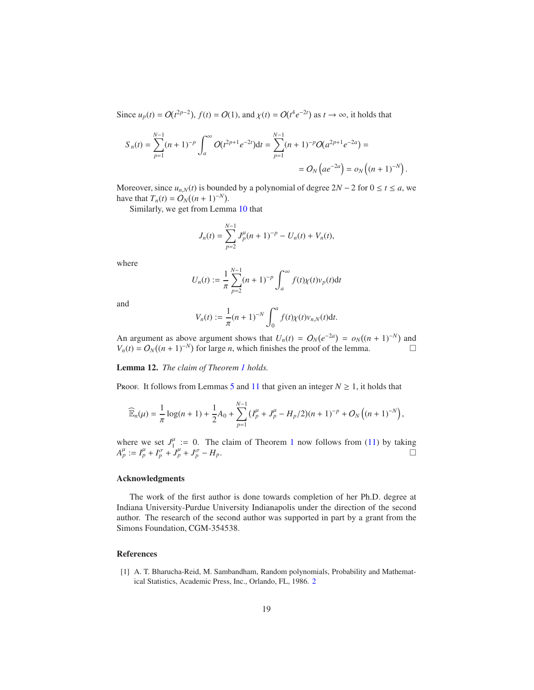Since  $u_p(t) = O(t^{2p-2})$ ,  $f(t) = O(1)$ , and  $\chi(t) = O(t^4 e^{-2t})$  as  $t \to \infty$ , it holds that

$$
S_n(t) = \sum_{p=1}^{N-1} (n+1)^{-p} \int_a^{\infty} O(t^{2p+1} e^{-2t}) dt = \sum_{p=1}^{N-1} (n+1)^{-p} O(a^{2p+1} e^{-2a}) =
$$
  
=  $O_N (ae^{-2a}) = o_N ((n+1)^{-N}).$ 

Moreover, since  $u_{n,N}(t)$  is bounded by a polynomial of degree  $2N - 2$  for  $0 \le t \le a$ , we have that  $T_n(t) = O_N((n+1)^{-N}).$ 

Similarly, we get from Lemma [10](#page-16-0) that

$$
J_n(t) = \sum_{p=2}^{N-1} J_p^{\mu}(n+1)^{-p} - U_n(t) + V_n(t),
$$

where

$$
U_n(t) := \frac{1}{\pi} \sum_{p=2}^{N-1} (n+1)^{-p} \int_a^{\infty} f(t) \chi(t) v_p(t) dt
$$

and

$$
V_n(t) := \frac{1}{\pi} (n+1)^{-N} \int_0^a f(t) \chi(t) v_{n,N}(t) dt.
$$

An argument as above argument shows that  $U_n(t) = O_N(e^{-2a}) = o_N((n+1)^{-N})$  and  $V_n(t) = O_N((n + 1)^{-N})$  for large *n*, which finishes the proof of the lemma.

Lemma 12. *The claim of Theorem [1](#page-2-4) holds.*

Proof. It follows from Lemmas [5](#page-6-2) and [11](#page-17-0) that given an integer  $N \ge 1$ , it holds that

$$
\widehat{\mathbb{E}}_n(\mu) = \frac{1}{\pi} \log(n+1) + \frac{1}{2} A_0 + \sum_{p=1}^{N-1} (I_p^{\mu} + J_p^{\mu} - H_p/2)(n+1)^{-p} + O_N((n+1)^{-N}),
$$

where we set  $J_1^{\mu}$  $\mu_{1/2}^{\mu}$  $\mu_{1/2}^{\mu}$  $\mu_{1/2}^{\mu}$  := 0. The claim of Theorem 1 now follows from [\(11\)](#page-6-3) by taking  $A_p^{\mu} := I_p^{\mu} + I_p^{\sigma} + J_p^{\mu} + J_p^{\sigma} - H_p.$ 

# Acknowledgments

The work of the first author is done towards completion of her Ph.D. degree at Indiana University-Purdue University Indianapolis under the direction of the second author. The research of the second author was supported in part by a grant from the Simons Foundation, CGM-354538.

### References

<span id="page-18-0"></span>[1] A. T. Bharucha-Reid, M. Sambandham, Random polynomials, Probability and Mathematical Statistics, Academic Press, Inc., Orlando, FL, 1986. [2](#page-1-4)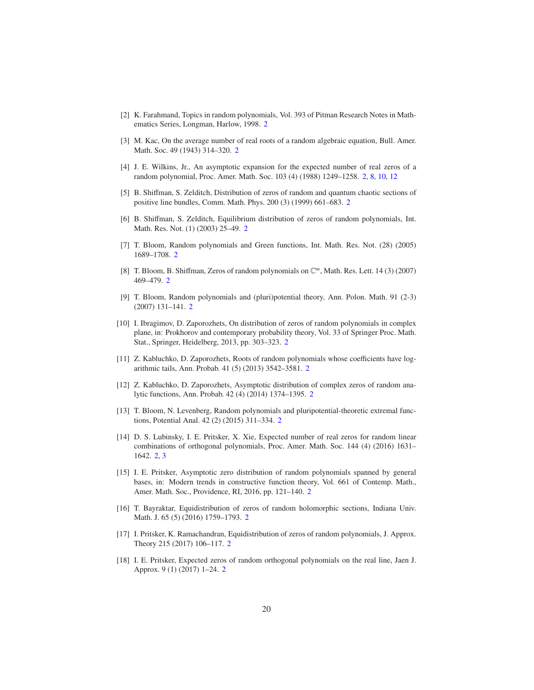- <span id="page-19-0"></span>[2] K. Farahmand, Topics in random polynomials, Vol. 393 of Pitman Research Notes in Mathematics Series, Longman, Harlow, 1998. [2](#page-1-4)
- <span id="page-19-1"></span>[3] M. Kac, On the average number of real roots of a random algebraic equation, Bull. Amer. Math. Soc. 49 (1943) 314–320. [2](#page-1-4)
- <span id="page-19-2"></span>[4] J. E. Wilkins, Jr., An asymptotic expansion for the expected number of real zeros of a random polynomial, Proc. Amer. Math. Soc. 103 (4) (1988) 1249–1258. [2,](#page-1-4) [8,](#page-7-2) [10,](#page-9-4) [12](#page-11-2)
- <span id="page-19-3"></span>[5] B. Shiffman, S. Zelditch, Distribution of zeros of random and quantum chaotic sections of positive line bundles, Comm. Math. Phys. 200 (3) (1999) 661–683. [2](#page-1-4)
- <span id="page-19-4"></span>[6] B. Shiffman, S. Zelditch, Equilibrium distribution of zeros of random polynomials, Int. Math. Res. Not. (1) (2003) 25–49. [2](#page-1-4)
- <span id="page-19-5"></span>[7] T. Bloom, Random polynomials and Green functions, Int. Math. Res. Not. (28) (2005) 1689–1708. [2](#page-1-4)
- <span id="page-19-6"></span>[8] T. Bloom, B. Shiffman, Zeros of random polynomials on C *m* , Math. Res. Lett. 14 (3) (2007) 469–479. [2](#page-1-4)
- <span id="page-19-7"></span>[9] T. Bloom, Random polynomials and (pluri)potential theory, Ann. Polon. Math. 91 (2-3) (2007) 131–141. [2](#page-1-4)
- <span id="page-19-8"></span>[10] I. Ibragimov, D. Zaporozhets, On distribution of zeros of random polynomials in complex plane, in: Prokhorov and contemporary probability theory, Vol. 33 of Springer Proc. Math. Stat., Springer, Heidelberg, 2013, pp. 303–323. [2](#page-1-4)
- <span id="page-19-9"></span>[11] Z. Kabluchko, D. Zaporozhets, Roots of random polynomials whose coefficients have logarithmic tails, Ann. Probab. 41 (5) (2013) 3542–3581. [2](#page-1-4)
- <span id="page-19-10"></span>[12] Z. Kabluchko, D. Zaporozhets, Asymptotic distribution of complex zeros of random analytic functions, Ann. Probab. 42 (4) (2014) 1374–1395. [2](#page-1-4)
- <span id="page-19-11"></span>[13] T. Bloom, N. Levenberg, Random polynomials and pluripotential-theoretic extremal functions, Potential Anal. 42 (2) (2015) 311–334. [2](#page-1-4)
- <span id="page-19-12"></span>[14] D. S. Lubinsky, I. E. Pritsker, X. Xie, Expected number of real zeros for random linear combinations of orthogonal polynomials, Proc. Amer. Math. Soc. 144 (4) (2016) 1631– 1642. [2,](#page-1-4) [3](#page-2-5)
- <span id="page-19-13"></span>[15] I. E. Pritsker, Asymptotic zero distribution of random polynomials spanned by general bases, in: Modern trends in constructive function theory, Vol. 661 of Contemp. Math., Amer. Math. Soc., Providence, RI, 2016, pp. 121–140. [2](#page-1-4)
- <span id="page-19-14"></span>[16] T. Bayraktar, Equidistribution of zeros of random holomorphic sections, Indiana Univ. Math. J. 65 (5) (2016) 1759–1793. [2](#page-1-4)
- <span id="page-19-15"></span>[17] I. Pritsker, K. Ramachandran, Equidistribution of zeros of random polynomials, J. Approx. Theory 215 (2017) 106–117. [2](#page-1-4)
- <span id="page-19-16"></span>[18] I. E. Pritsker, Expected zeros of random orthogonal polynomials on the real line, Jaen J. Approx. 9 (1) (2017) 1–24. [2](#page-1-4)